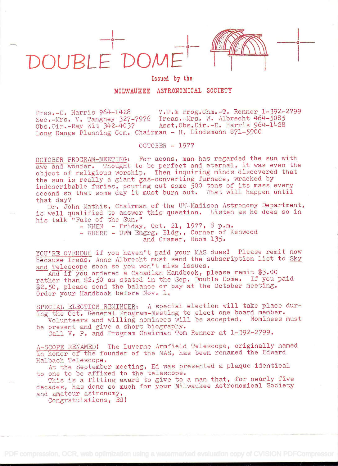

## Issued by the

**E** de la provincia

## MILWAUKEE ASTRONOMICAL SOCIETY

Pres.-D. Harris 964-1428 V.P.& Prog.Chm.-T. Renner 1-392-2799 Sec.-Mrs. V. Tangney 327-7976 Treas.-Mrs. W. Albrecht 464-5085<br>Obs.Dir.-Ray Zit 342-4037 Asst.Obs.Dir.-D. Harris 964-1428 Asst.Obs.Dir.-D. Harris 964-1428 Long Range Planning Com. Chairman - H. Lindemann 871-5900

OCTOBER - 1977

OCTOBER PROGRAM-MEETING: For aeons, man has regarded the sun with awe and wonder. Thought to be perfect and eternal, it was even the object of religious worship. Then inquiring minds discovered that the sun is really a giant gas-converting furnace, wracked by indescribable furies, pouring out some 500 tons of its mass every second so that some day it must burn out. What will happen until that day?

Dr. John Mathis, Chairman of the UW-Madison Astronomy Department, is well qualified to answer this question. Listen as he does so in his talk "Fate of the Sun."

- WHEN - Friday, Oct. 21, 1977, 8 p.m. - WHERE - UWM Engrg. Bldg., Corner of Kenwood and Cramer, Room 135.

YOU'RE OVERDUE if you haven't paid your MAS dues! Please remit now because Treas. Anne Albrecht must send the subscription list to Sky and Telescope soon so you won't miss issues.

And if you ordered a Canadian Handbook, please remit \$3.00 rather than \$2.50 as stated in the Sep. Double Dome. If you paid \$2.50, please send the balance or pay at the October meeting. Order your Handbook before Nov. 1.

SPECIAL ELECTION REMINDER: A special election will take place during the Oct. General Program-Meeting to elect one board member.

Volunteers and willing nominees will be accepted. Nominees must be present and give a short biography.

Call V. P. and Program Chairman Tom Renner at l-392-2799.

A-SCOPE RENAMED: The Luverne Armfield Telescope, originally named in honor of the founder of the MAS, has been renamed the Edward Halbach Telescope.

At the September meeting, Ed was presented a plaque identical to one to be affixed to the telescope.

This is a fitting award to give to a man that, for nearly five decades, has done so much for your Milwaukee Astronomical Society and amateur astronomy.

Congratulations, Ed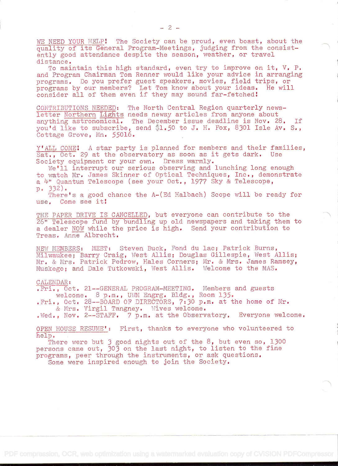WE NEED YOUR HELP! The Society can be proud, even boast, about the quality of its General Program-Meetings, judging from the consistently good attendance despite the season, weather, or travel distance.

To maintain this high standard, even try to improve on it, V. P. and Program Chairman Tom Renner would like your advice in arranging programs. Do you prefer guest speakers, movies, field trips, or programs by our members? Let Tom know about your ideas. He will consider all of them even if they may sound far-fetched!

CONTRIBUTIONS NEEDED: The North Central Region quarterly newsletter Northern Lights needs newsy articles from anyone about anything astronomical. The December issue deadline is Nov. 28. If you'd like to subscribe, send \$1.50 to J. H. Fox, 8301 Isle Av. S., Cottage Grove, Mn. 55016.

 $Y'$ ALL COME: A star party is planned for members and their families,<br>Sat... Oct. 29 at the observatory as soon as it gets dark. Use Sat.,  $0ct.$  29 at the observatory as soon as it gets dark. Society equipment or your own. Dress warmly.

We'll interrupt our serious observing and lunching long enough to watch Mr. James Skinner of Optical Techniques, Inc., demonstrate a 4" Quantum Telescope (see your Oct., 1977 Sky & Telescope, p. 332).

There's a good chance the A-(Ed Halbach) Scope will be ready for use. Come see it

THE PAPER DRIVE IS CANCELLED, but everyone can contribute to the 26" Telescope fund by bundling up old newspapers and taking them to a dealer NOW while the price is high. Send your contribution to Treas. Anne Albrecht.

NEW MEMBERS: MEET: Steven Buck, Fond du lac; Patrick Burns, Milwaukee; Barry Craig, West Allis; Douglas Gillespie, West Allis; Mr. & Mrs. Patrick Pedrow, Hales Corners; Mr. & Mrs. James Ramsey, Muskego; and Dale Tutkowski, West Allis. Welcome to the MAS.

## CALENDAR:

.Fri., Oct. 21--GENERAL PROGRAM-MEETING. Members and guests welcome. 8 p.m., UWM Engrg. Bldg., Room 135.

.Fri., Oct. 28--BOARD OF DIRECTORS, 7:30 p.m. at the home of Mr. & Mrs. Virgil Tangney, Wives welcome.

. Wed.. Nov. 2--STAFF.  $\gamma$  p.m. at the Observatory. Everyone welcome.

OPEN HOUSE RESUME': First, thanks to everyone who volunteered to help.

There were but 3 good nights out of the 8, but even so, 1300 persons came out, 303 on the last night, to listen to the fine programs, peer through the instruments, or ask questions. Some were inspired enough to join the Society.